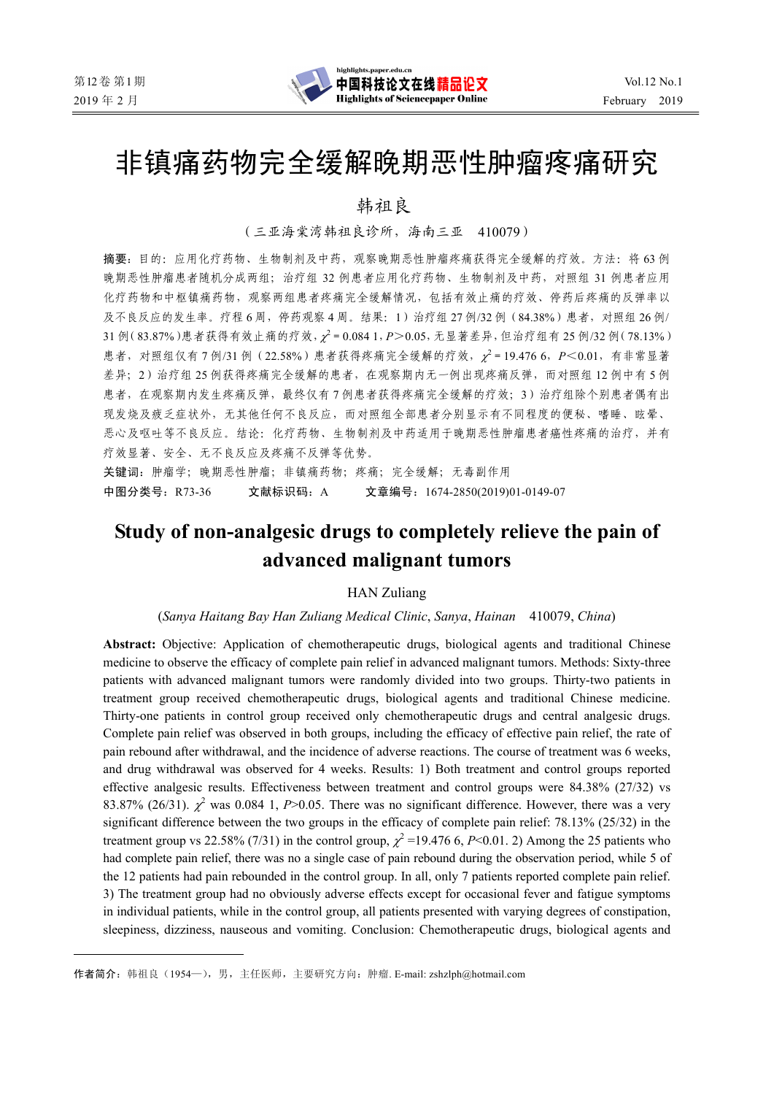$\overline{a}$ 

# 非镇痛药物完全缓解晚期恶性肿瘤疼痛研究

韩祖良\*

(三亚海棠湾韩祖良诊所,海南三亚 410079)

摘要:目的: 应用化疗药物、生物制剂及中药,观察晚期恶性肿瘤疼痛获得完全缓解的疗效。方法: 将 63 例 晚期恶性肿瘤患者随机分成两组;治疗组 32 例患者应用化疗药物、生物制剂及中药,对照组 31 例患者应用 化疗药物和中枢镇痛药物,观察两组患者疼痛完全缓解情况,包括有效止痛的疗效、停药后疼痛的反弹率以 及不良反应的发生率。疗程6周,停药观察4周。结果:1)治疗组 27 例/32 例 (84.38%)患者,对照组 26 例/ 31 例(83.87%)患者获得有效止痛的疗效,  $\chi^2$  = 0.084 1, P > 0.05, 无显著差异, 但治疗组有 25 例/32 例(78.13%) 患者,对照组仅有7例/31例 (22.58%)患者获得疼痛完全缓解的疗效, x<sup>2</sup> = 19.476 6, P<0.01, 有非常显著 差异;2)治疗组 25 例获得疼痛完全缓解的患者,在观察期内无一例出现疼痛反弹,而对照组 12 例中有 5 例 患者,在观察期内发生疼痛反弹,最终仅有7例患者获得疼痛完全缓解的疗效;3)治疗组除个别患者偶有出 现发烧及疲乏症状外,无其他任何不良反应,而对照组全部患者分别显示有不同程度的便秘、嗜睡、眩晕、 恶心及呕吐等不良反应。结论:化疗药物、生物制剂及中药适用于晚期恶性肿瘤患者癌性疼痛的治疗,并有 疗效显著、安全、无不良反应及疼痛不反弹等优势。

关键词: 肿瘤学; 晚期恶性肿瘤; 非镇痛药物; 疼痛; 完全缓解; 无毒副作用 中图分类号:R73-36 文献标识码:A 文章编号:1674-2850(2019)01-0149-07

## **Study of non-analgesic drugs to completely relieve the pain of advanced malignant tumors**

#### HAN Zuliang

#### (*Sanya Haitang Bay Han Zuliang Medical Clinic*, *Sanya*, *Hainan* 410079, *China*)

**Abstract:** Objective: Application of chemotherapeutic drugs, biological agents and traditional Chinese medicine to observe the efficacy of complete pain relief in advanced malignant tumors. Methods: Sixty-three patients with advanced malignant tumors were randomly divided into two groups. Thirty-two patients in treatment group received chemotherapeutic drugs, biological agents and traditional Chinese medicine. Thirty-one patients in control group received only chemotherapeutic drugs and central analgesic drugs. Complete pain relief was observed in both groups, including the efficacy of effective pain relief, the rate of pain rebound after withdrawal, and the incidence of adverse reactions. The course of treatment was 6 weeks, and drug withdrawal was observed for 4 weeks. Results: 1) Both treatment and control groups reported effective analgesic results. Effectiveness between treatment and control groups were 84.38% (27/32) vs 83.87% (26/31).  $\chi^2$  was 0.084 1, *P*>0.05. There was no significant difference. However, there was a very significant difference between the two groups in the efficacy of complete pain relief: 78.13% (25/32) in the treatment group vs 22.58% (7/31) in the control group,  $\chi^2$  =19.476 6, *P*<0.01. 2) Among the 25 patients who had complete pain relief, there was no a single case of pain rebound during the observation period, while 5 of the 12 patients had pain rebounded in the control group. In all, only 7 patients reported complete pain relief. 3) The treatment group had no obviously adverse effects except for occasional fever and fatigue symptoms in individual patients, while in the control group, all patients presented with varying degrees of constipation, sleepiness, dizziness, nauseous and vomiting. Conclusion: Chemotherapeutic drugs, biological agents and

作者简介: 韩祖良(1954—),男,主任医师,主要研究方向: 肿瘤. E-mail: zshzlph@hotmail.com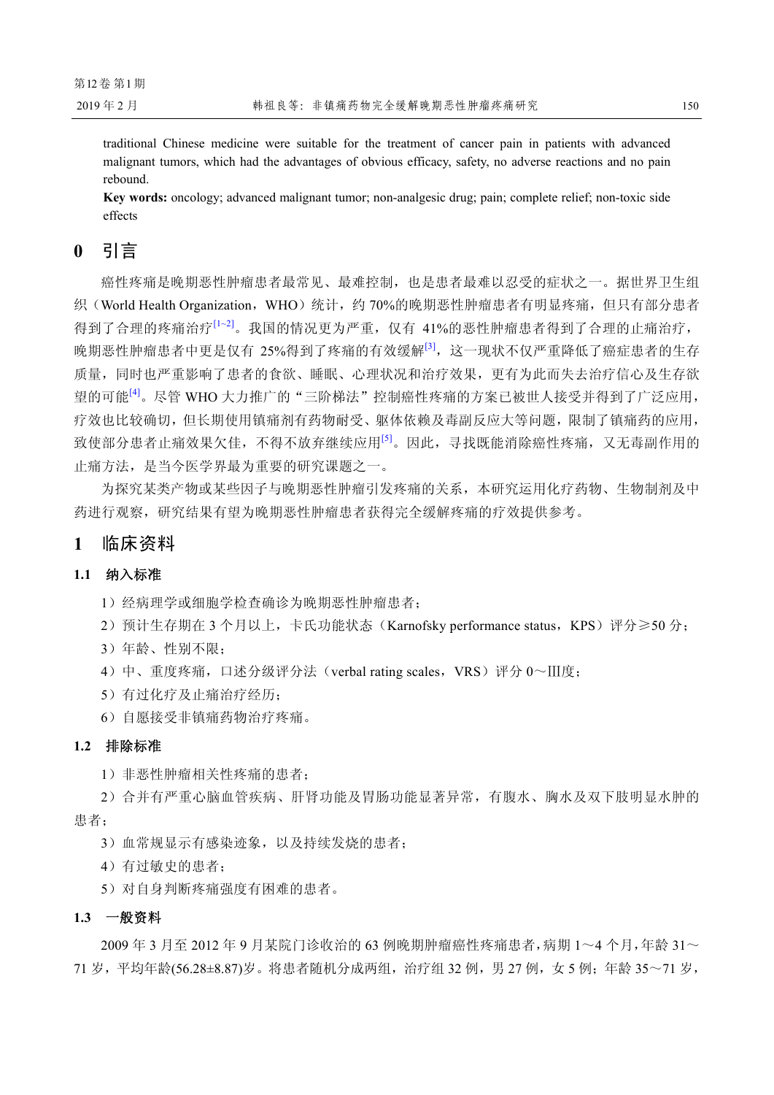traditional Chinese medicine were suitable for the treatment of cancer pain in patients with advanced malignant tumors, which had the advantages of obvious efficacy, safety, no adverse reactions and no pain rebound.

**Key words:** oncology; advanced malignant tumor; non-analgesic drug; pain; complete relief; non-toxic side effects

## **0** 引言

癌性疼痛是晚期恶性肿瘤患者最常见、最难控制,也是患者最难以忍受的症状之一。据世界卫生组 织(World Health Organization, WHO)统计,约 70%的晚期恶性肿瘤患者有明显疼痛,但只有部分患者 得到了合理的疼痛治疗<sup>[1~2]</sup>。我国的情况更为严重,仅有 41%的恶性肿瘤患者得到了合理的止痛治疗, 晚期恶性肿瘤患者中更是仅有 25%得到了疼痛的有效缓解[3],这一现状不仅严重降低了癌症患者的生存 质量,同时也严重影响了患者的食欲、睡眠、心理状况和治疗效果,更有为此而失去治疗信心及生存欲 望的可能<sup>[4]</sup>。尽管 WHO 大力推广的"三阶梯法"控制癌性疼痛的方案已被世人接受并得到了广泛应用, 疗效也比较确切,但长期使用镇痛剂有药物耐受、躯体依赖及毒副反应大等问题,限制了镇痛药的应用, 致使部分患者止痛效果欠佳,不得不放弃继续应用[5]。因此,寻找既能消除癌性疼痛,又无毒副作用的 止痛方法,是当今医学界最为重要的研究课题之一。

为探究某类产物或某些因子与晚期恶性肿瘤引发疼痛的关系,本研究运用化疗药物、生物制剂及中 药进行观察,研究结果有望为晚期恶性肿瘤患者获得完全缓解疼痛的疗效提供参考。

### **1** 临床资料

#### **1.1** 纳入标准

1)经病理学或细胞学检查确诊为晚期恶性肿瘤患者;

2) 预计生存期在 3 个月以上, 卡氏功能状态(Karnofsky performance status, KPS)评分≥50 分;

- 3)年龄、性别不限;
- 4) 中、重度疼痛,口述分级评分法(verbal rating scales, VRS)评分 0~Ⅲ度;
- 5)有过化疗及止痛治疗经历;

6)自愿接受非镇痛药物治疗疼痛。

#### **1.2** 排除标准

1)非恶性肿瘤相关性疼痛的患者;

2)合并有严重心脑血管疾病、肝肾功能及胃肠功能显著异常,有腹水、胸水及双下肢明显水肿的 患者;

3)血常规显示有感染迹象,以及持续发烧的患者;

4)有过敏史的患者;

5)对自身判断疼痛强度有困难的患者。

#### **1.3** 一般资料

2009 年 3 月至 2012 年 9 月某院门诊收治的 63 例晚期肿瘤癌性疼痛患者,病期 1~4 个月,年龄 31~ 71 岁,平均年龄(56.28±8.87)岁。将患者随机分成两组,治疗组 32 例,男 27 例,女 5 例;年龄 35~71 岁,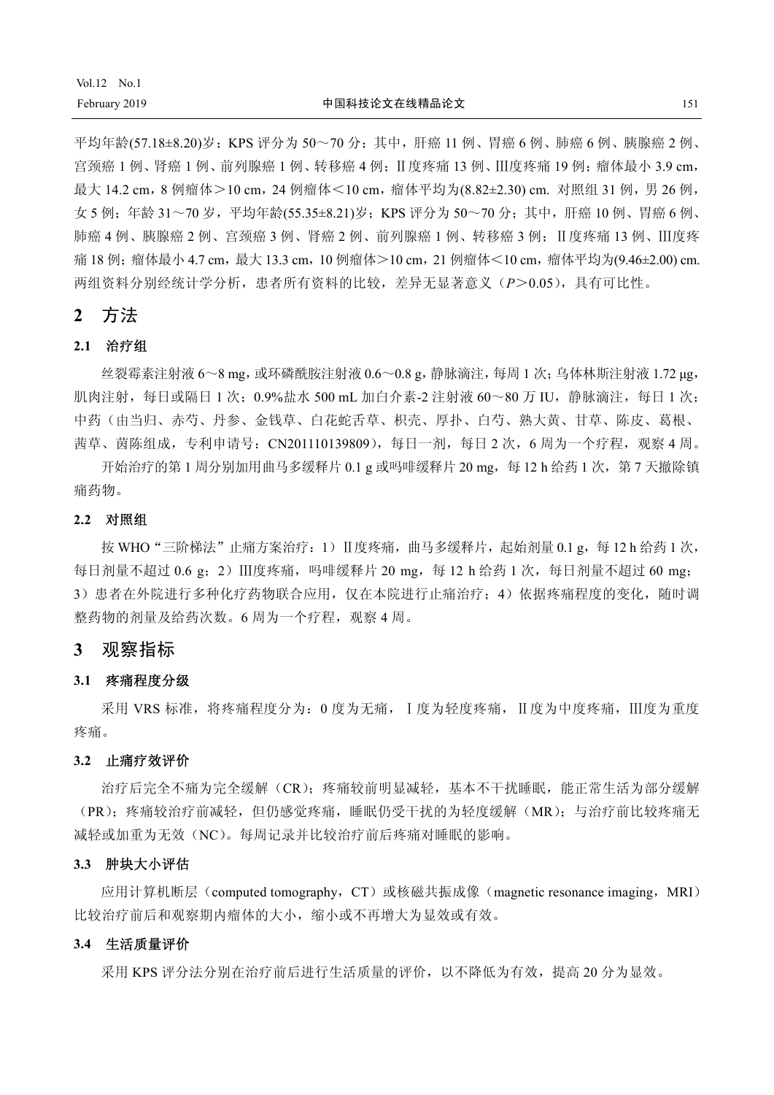平均年龄(57.18±8.20)岁;KPS 评分为 50~70 分;其中, 肝癌 11 例、胃癌 6 例、肺癌 6 例、胰腺癌 2 例、 宫颈癌 1 例、肾癌 1 例、前列腺癌 1 例、转移癌 4 例; Ⅱ度疼痛 13 例、Ⅲ度疼痛 19 例; 瘤体最小 3.9 cm, 最大 14.2 cm, 8 例瘤体 > 10 cm, 24 例瘤体 < 10 cm, 瘤体平均为(8.82±2.30) cm. 对照组 31 例, 男 26 例, 女 5 例: 年龄 31~70 岁, 平均年龄(55.35±8.21)岁;KPS 评分为 50~70 分;其中, 肝癌 10 例、胃癌 6 例、 肺癌 4 例、胰腺癌 2 例、宫颈癌 3 例、肾癌 2 例、前列腺癌 1 例、转移癌 3 例: Ⅱ度疼痛 13 例、Ⅲ度疼 痛 18 例: 瘤体最小 4.7 cm, 最大 13.3 cm, 10 例瘤体>10 cm, 21 例瘤体<10 cm, 瘤体平均为(9.46±2.00) cm. 两组资料分别经统计学分析,患者所有资料的比较,差异无显著意义(*P*>0.05),具有可比性。

## **2** 方法

## **2.1** 治疗组

 $2.44 \times 2.8 \times 10^{-4}$  mg, 或环磷酰胺注射液 0.6~0.8 g, 静脉滴注, 每周 1 次; 乌体林斯注射液 1.72 μg, 肌肉注射,每日或隔日 1 次; 0.9%盐水 500 mL 加白介素-2 注射液 60~80 万 IU,静脉滴注,每日 1 次; 中药(由当归、赤芍、丹参、金钱草、白花蛇舌草、枳壳、厚扑、白芍、熟大黄、甘草、陈皮、葛根、 茜草、茵陈组成,专利申请号:CN201110139809),每日一剂,每日 2 次,6 周为一个疗程,观察 4 周。

开始治疗的第 1 周分别加用曲马多缓释片  $0.1$  g 或吗啡缓释片  $20$  mg, 每 12 h 给药 1 次,第 7 天撤除镇 痛药物。

#### **2.2** 对照组

按 WHO "三阶梯法"止痛方案治疗: 1) Ⅱ度疼痛, 曲马多缓释片, 起始剂量 0.1 g, 每 12 h 给药 1 次, 每日剂量不超过 0.6 g; 2) Ⅲ度疼痛, 吗啡缓释片 20 mg, 每 12 h 给药 1 次, 每日剂量不超过 60 mg; 3) 患者在外院进行多种化疗药物联合应用,仅在本院进行止痛治疗;4)依据疼痛程度的变化,随时调 整药物的剂量及给药次数。6 周为一个疗程,观察 4 周。

#### **3** 观察指标

#### **3.1** 疼痛程度分级

采用 VRS 标准,将疼痛程度分为:0 度为无痛, Ⅰ度为轻度疼痛, Ⅱ度为中度疼痛, Ⅲ度为重度 疼痛。

#### **3.2** 止痛疗效评价

治疗后完全不痛为完全缓解(CR);疼痛较前明显减轻,基本不干扰睡眠,能正常生活为部分缓解 (PR);疼痛较治疗前减轻,但仍感觉疼痛,睡眠仍受干扰的为轻度缓解(MR);与治疗前比较疼痛无 减轻或加重为无效(NC)。每周记录并比较治疗前后疼痛对睡眠的影响。

#### **3.3** 肿块大小评估

应用计算机断层(computed tomography, CT)或核磁共振成像(magnetic resonance imaging, MRI) 比较治疗前后和观察期内瘤体的大小,缩小或不再增大为显效或有效。

#### **3.4** 生活质量评价

采用 KPS 评分法分别在治疗前后进行生活质量的评价,以不降低为有效,提高 20 分为显效。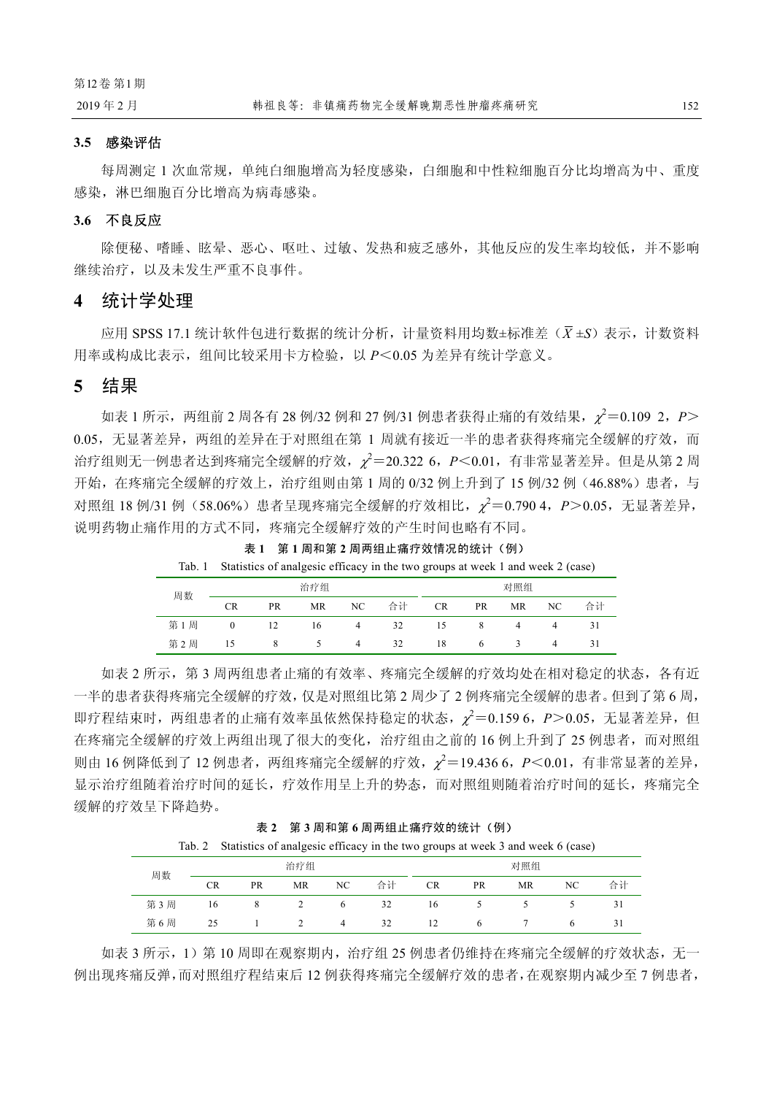#### **3.5** 感染评估

每周测定 1 次血常规,单纯白细胞增高为轻度感染,白细胞和中性粒细胞百分比均增高为中、重度 感染,淋巴细胞百分比增高为病毒感染。

#### **3.6** 不良反应

除便秘、嗜睡、眩晕、恶心、呕吐、过敏、发热和疲乏感外,其他反应的发生率均较低,并不影响 继续治疗,以及未发生严重不良事件。

#### **4** 统计学处理

应用 SPSS 17.1 统计软件包进行数据的统计分析,计量资料用均数±标准差(*X* ±*S*)表示,计数资料 用率或构成比表示,组间比较采用卡方检验,以 *P*<0.05 为差异有统计学意义。

## **5** 结果

如表 1 所示,两组前 2 周各有 28 例/32 例和 27 例/31 例患者获得止痛的有效结果,<sup>χ</sup> 2 =0.109 2,*P*> 0.05,无显著差异,两组的差异在于对照组在第 1 周就有接近一半的患者获得疼痛完全缓解的疗效,而 治疗组则无一例患者达到疼痛完全缓解的疗效,  $\chi^2$ =20.322 6, P<0.01, 有非常显著差异。但是从第 2 周 开始,在疼痛完全缓解的疗效上,治疗组则由第1周的 0/32 例上升到了 15 例/32 例 (46.88%)患者,与 对照组 18 例/31 例(58.06%)患者呈现疼痛完全缓解的疗效相比, χ<sup>2</sup>=0.790 4, P>0.05, 无显著差异, 说明药物止痛作用的方式不同,疼痛完全缓解疗效的产生时间也略有不同。

| Tab. 1 |                |                |                |                | Statistics of analgesic efficacy in the two groups at week 1 and week 2 (case) |           |                 |                           |     |    |
|--------|----------------|----------------|----------------|----------------|--------------------------------------------------------------------------------|-----------|-----------------|---------------------------|-----|----|
| 周数     |                |                | 治疗组            |                |                                                                                |           |                 | 对照组                       |     |    |
|        | <b>CR</b>      | PR             | MR             | NC.            | 合计                                                                             | <b>CR</b> | PR              | MR                        | NC. | 合计 |
| 第1周    | $\Omega$       | $\frac{12}{2}$ | 16             | $\overline{4}$ | 32                                                                             | 15        | - 8             | $\sim$ 4                  |     |    |
| 第2周    | $\frac{15}{2}$ | -8             | $\overline{5}$ | $\overline{4}$ | 32                                                                             | -18       | $6\overline{6}$ | $\overline{\phantom{a}3}$ |     |    |

表 **1** 第 **1** 周和第 **2** 周两组止痛疗效情况的统计(例)

如表 2 所示,第 3 周两组患者止痛的有效率、疼痛完全缓解的疗效均处在相对稳定的状态,各有近 一半的患者获得疼痛完全缓解的疗效,仅是对照组比第 2 周少了 2 例疼痛完全缓解的患者。但到了第 6 周, 即疗程结束时, 两组患者的止痛有效率虽依然保持稳定的状态,  $\chi^2$ =0.159 6, P>0.05, 无显著差异, 但 在疼痛完全缓解的疗效上两组出现了很大的变化,治疗组由之前的 16 例上升到了 25 例患者,而对照组 则由 16 例降低到了 12 例患者, 两组疼痛完全缓解的疗效,  $\chi^2$ =19.436 6, P<0.01, 有非常显著的差异, 显示治疗组随着治疗时间的延长,疗效作用呈上升的势态,而对照组则随着治疗时间的延长,疼痛完全 缓解的疗效呈下降趋势。

|  | 表 2 | 第3周和第6周两组止痛疗效的统计 (例) |  |
|--|-----|----------------------|--|
|--|-----|----------------------|--|

|     |           |           |     |      | Tab. 2 Statistics of analgesic efficacy in the two groups at week 3 and week 6 (case) |           |           |     |    |    |
|-----|-----------|-----------|-----|------|---------------------------------------------------------------------------------------|-----------|-----------|-----|----|----|
| 周数  |           |           | 治疗组 |      |                                                                                       |           |           | 对照组 |    |    |
|     | <b>CR</b> | <b>PR</b> | MR  | NC . | 合计                                                                                    | <b>CR</b> | <b>PR</b> | MR  | NС | 合计 |
| 第3周 | 16        | 8         |     | 6    | 32                                                                                    | 16        |           |     |    |    |
| 第6周 | 25        |           |     | 4    | 32                                                                                    | 12        | 6         |     |    |    |

如表 3 所示,1)第 10 周即在观察期内,治疗组 25 例患者仍维持在疼痛完全缓解的疗效状态,无一 例出现疼痛反弹,而对照组疗程结束后 12 例获得疼痛完全缓解疗效的患者,在观察期内减少至 7 例患者,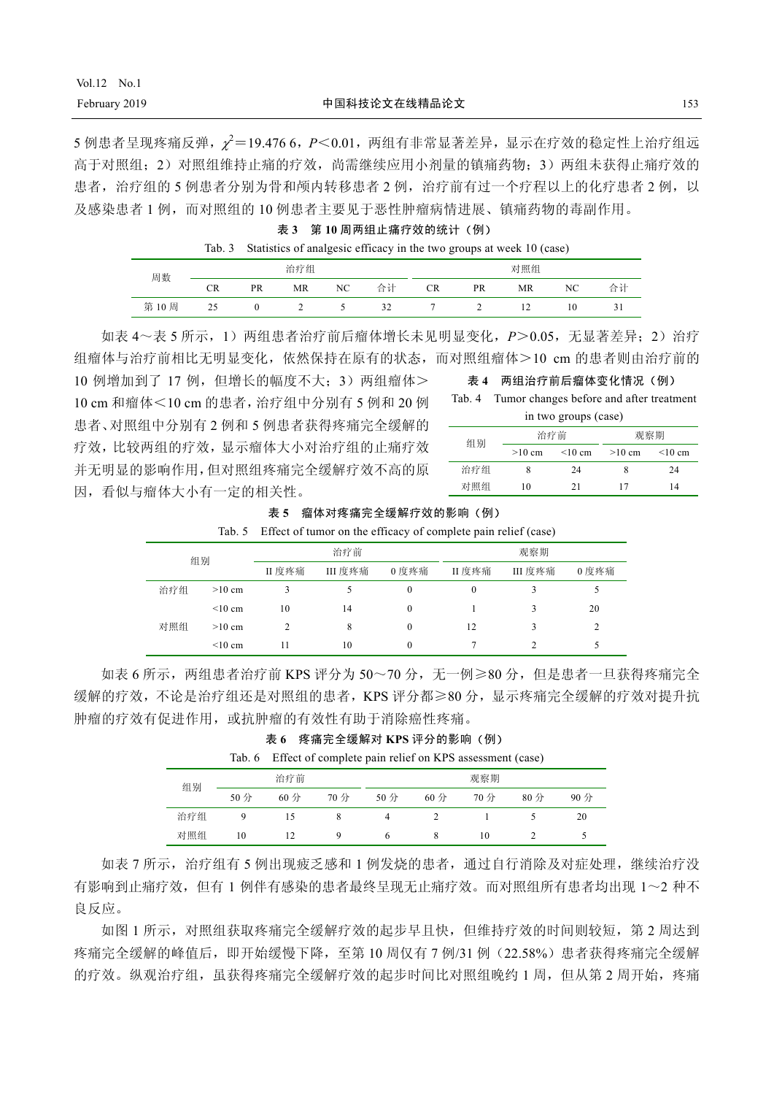5 例患者呈现疼痛反弹, x2=19.476 6, P<0.01, 两组有非常显著差异, 显示在疗效的稳定性上治疗组远 高于对照组;2)对照组维持止痛的疗效,尚需继续应用小剂量的镇痛药物;3)两组未获得止痛疗效的 患者,治疗组的5例患者分别为骨和颅内转移患者2例,治疗前有过一个疗程以上的化疗患者2例,以 及感染患者 1 例,而对照组的 10 例患者主要见于恶性肿瘤病情进展、镇痛药物的毒副作用。

表 **3** 第 **10** 周两组止痛疗效的统计(例)

|      |     |    |           |      |    |           |     | Tab. 3 Statistics of analgesic efficacy in the two groups at week 10 (case) |     |    |
|------|-----|----|-----------|------|----|-----------|-----|-----------------------------------------------------------------------------|-----|----|
| 周数   |     |    | 治疗组       |      |    |           |     | 对照组                                                                         |     |    |
|      | CR. | PR | <b>MR</b> | NC - | 合计 | <b>CR</b> | PR. | <b>MR</b>                                                                   | NC. | 合计 |
| 第10周 | 25  |    |           |      | 32 |           |     |                                                                             | 10  |    |

如表 4~表 5 所示, 1) 两组患者治疗前后瘤体增长未见明显变化, P>0.05, 无显著差异: 2) 治疗 组瘤体与治疗前相比无明显变化,依然保持在原有的状态,而对照组瘤体>10 cm 的患者则由治疗前的

10 例增加到了 17 例, 但增长的幅度不大: 3)两组瘤体> 10 cm 和瘤体<10 cm 的患者,治疗组中分别有 5 例和 20 例 患者、对照组中分别有 2 例和 5 例患者获得疼痛完全缓解的 疗效,比较两组的疗效,显示瘤体大小对治疗组的止痛疗效 并无明显的影响作用,但对照组疼痛完全缓解疗效不高的原 因,看似与瘤体大小有一定的相关性。

表 **4** 两组治疗前后瘤体变化情况(例)

Tab. 4 Tumor changes before and after treatment

|  | in two groups (case) |  |
|--|----------------------|--|
|  |                      |  |

| 组别  | 治疗前      |           |          | 观察期          |  |  |
|-----|----------|-----------|----------|--------------|--|--|
|     | $>10$ cm | $<$ 10 cm | $>10$ cm | $\leq 10$ cm |  |  |
| 治疗组 |          | 24        |          | 24           |  |  |
| 对照组 | 10       | 21        | 17       | 14           |  |  |

表 **5** 瘤体对疼痛完全缓解疗效的影响(例)

|    | Tab. 5 Effect of tumor on the efficacy of complete pain relief (case) |     |
|----|-----------------------------------------------------------------------|-----|
| 组别 | 治疗前                                                                   | 观察期 |
|    |                                                                       |     |

| 组别 |     |              |      | 1 H 7 J 1 B 9 |          | クロンバンツナ |         |       |  |
|----|-----|--------------|------|---------------|----------|---------|---------|-------|--|
|    |     |              | Ⅱ度疼痛 | III 度疼痛       | 0度疼痛     | II 度疼痛  | III 度疼痛 | 0 度疼痛 |  |
|    | 治疗组 | $>10$ cm     |      |               |          | 0       |         |       |  |
|    |     | $\leq 10$ cm | 10   | 14            | $^{(1)}$ |         |         | 20    |  |
|    | 对照组 | $>10$ cm     |      | 8             |          | 12      |         |       |  |
|    |     | $\leq 10$ cm |      | 10            |          |         |         |       |  |

如表 6 所示,两组患者治疗前 KPS 评分为 50~70 分,无一例≥80 分,但是患者一旦获得疼痛完全 缓解的疗效,不论是治疗组还是对照组的患者,KPS 评分都≥80 分,显示疼痛完全缓解的疗效对提升抗 肿瘤的疗效有促进作用,或抗肿瘤的有效性有助于消除癌性疼痛。

|     |        | 表 6                   | 疼痛完全缓解对 KPS 评分的影响(例) |                       |                       |                                                         |                       |        |
|-----|--------|-----------------------|----------------------|-----------------------|-----------------------|---------------------------------------------------------|-----------------------|--------|
|     | Tab. 6 |                       |                      |                       |                       | Effect of complete pain relief on KPS assessment (case) |                       |        |
| 组别  |        | 治疗前                   |                      |                       |                       | 观察期                                                     |                       |        |
|     | $50$ 分 | $60 \nleftrightarrow$ | 70 分                 | $50 \nleftrightarrow$ | $60 \nleftrightarrow$ | 70 分                                                    | $80 \nleftrightarrow$ | $90$ 分 |
| 治疗组 | 9      |                       | 8                    |                       |                       |                                                         |                       | 20     |
| 对照组 | 10     |                       | 9                    | h                     |                       | 10                                                      |                       |        |

如表 7 所示, 治疗组有 5 例出现疲乏感和 1 例发烧的患者, 通过自行消除及对症处理, 继续治疗没 有影响到止痛疗效,但有 1 例伴有感染的患者最终呈现无止痛疗效。而对照组所有患者均出现 1~2 种不 良反应。

如图 1 所示, 对照组获取疼痛完全缓解疗效的起步早且快, 但维持疗效的时间则较短, 第 2 周达到 疼痛完全缓解的峰值后,即开始缓慢下降,至第 10 周仅有 7 例/31 例(22.58%)患者获得疼痛完全缓解 的疗效。纵观治疗组,虽获得疼痛完全缓解疗效的起步时间比对照组晚约 1 周,但从第 2 周开始,疼痛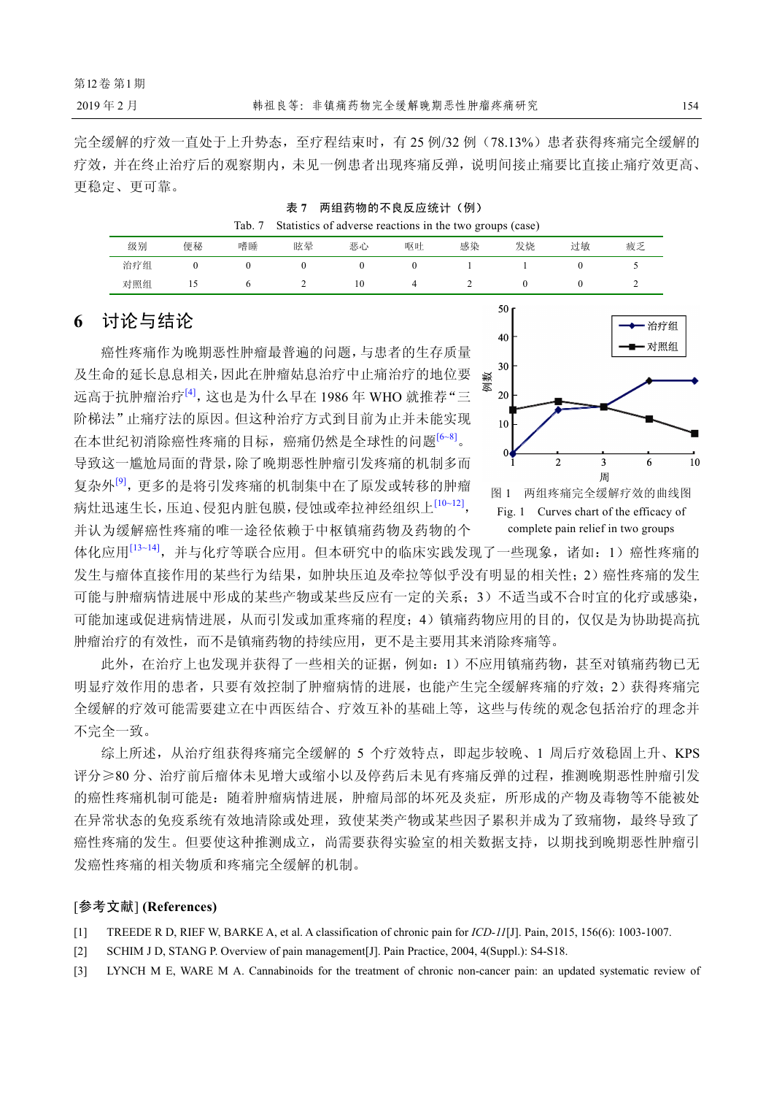完全缓解的疗效一直处于上升势态,至疗程结束时,有 25 例/32 例(78.13%)患者获得疼痛完全缓解的 疗效,并在终止治疗后的观察期内,未见一例患者出现疼痛反弹,说明间接止痛要比直接止痛疗效更高、 更稳定、更可靠。

| 两组药物的不良反应统计(例)<br>表 7 |  |
|-----------------------|--|
|-----------------------|--|

|--|

| 级别  | 便秘  | 嗜睡 | 眩晕 | 恶心 | 呕吐 | 感染 | 发烧 | 过敏 | 疲乏          |
|-----|-----|----|----|----|----|----|----|----|-------------|
| 治疗组 |     |    |    |    |    |    |    |    | ◡           |
| 对照组 | . . |    | ∼  | 10 |    |    |    |    | $\sim$<br>∼ |

## **6** 讨论与结论

癌性疼痛作为晚期恶性肿瘤最普遍的问题,与患者的生存质量 及生命的延长息息相关,因此在肿瘤姑息治疗中止痛治疗的地位要 远高于抗肿瘤治疗[4],这也是为什么早在 1986 年 WHO 就推荐"三 阶梯法"止痛疗法的原因。但这种治疗方式到目前为止并未能实现 在本世纪初消除癌性疼痛的目标,癌痛仍然是全球性的问题<sup>[6~8]</sup>。 导致这一尴尬局面的背景,除了晚期恶性肿瘤引发疼痛的机制多而 复杂外<sup>[9]</sup>,更多的是将引发疼痛的机制集中在了原发或转移的肿瘤 病灶迅速生长,压迫、侵犯内脏包膜,侵蚀或牵拉神经组织上<sup>[10~12]</sup>, 并认为缓解癌性疼痛的唯一途径依赖于中枢镇痛药物及药物的个



Fig. 1 Curves chart of the efficacy of complete pain relief in two groups

体化应用<sup>[13~14]</sup>,并与化疗等联合应用。但本研究中的临床实践发现了一些现象,诸如: 1)癌性疼痛的 发生与瘤体直接作用的某些行为结果,如肿块压迫及牵拉等似乎没有明显的相关性;2)癌性疼痛的发生 可能与肿瘤病情进展中形成的某些产物或某些反应有一定的关系;3)不适当或不合时宜的化疗或感染, 可能加速或促进病情进展,从而引发或加重疼痛的程度;4)镇痛药物应用的目的,仅仅是为协助提高抗 肿瘤治疗的有效性,而不是镇痛药物的持续应用,更不是主要用其来消除疼痛等。

此外,在治疗上也发现并获得了一些相关的证据,例如:1)不应用镇痛药物,甚至对镇痛药物已无 明显疗效作用的患者,只要有效控制了肿瘤病情的进展,也能产生完全缓解疼痛的疗效;2)获得疼痛完 全缓解的疗效可能需要建立在中西医结合、疗效互补的基础上等,这些与传统的观念包括治疗的理念并 不完全一致。

综上所述,从治疗组获得疼痛完全缓解的 5 个疗效特点,即起步较晚、1 周后疗效稳固上升、KPS 评分≥80 分、治疗前后瘤体未见增大或缩小以及停药后未见有疼痛反弹的过程,推测晚期恶性肿瘤引发 的癌性疼痛机制可能是:随着肿瘤病情进展,肿瘤局部的坏死及炎症,所形成的产物及毒物等不能被处 在异常状态的免疫系统有效地清除或处理,致使某类产物或某些因子累积并成为了致痛物,最终导致了 癌性疼痛的发生。但要使这种推测成立,尚需要获得实验室的相关数据支持,以期找到晚期恶性肿瘤引 发癌性疼痛的相关物质和疼痛完全缓解的机制。

#### [参考文献] **(References)**

- [1] TREEDE R D, RIEF W, BARKE A, et al. A classification of chronic pain for *ICD-11*[J]. Pain, 2015, 156(6): 1003-1007.
- [2] SCHIM J D, STANG P. Overview of pain management[J]. Pain Practice, 2004, 4(Suppl.): S4-S18.
- [3] LYNCH M E, WARE M A. Cannabinoids for the treatment of chronic non-cancer pain: an updated systematic review of